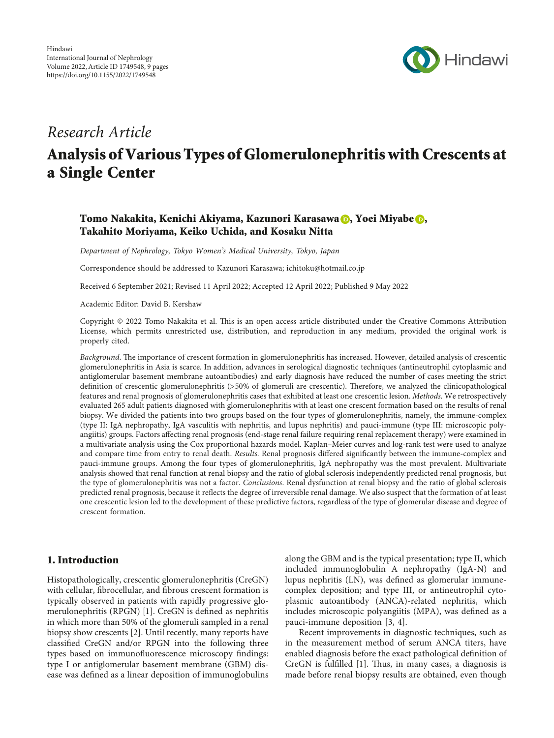

## Research Article

# Analysis of Various Types of Glomerulonephritis with Crescents at a Single Center

## Tomo Nakakita, Kenichi Akiyama, Kazunori Karasawa (**b.** Yoei Miyabe **(b.** Takahito Moriyama, Keiko Uchida, and Kosaku Nitta

Department of Nephrology, Tokyo Women's Medical University, Tokyo, Japan

Correspondence should be addressed to Kazunori Karasawa; [ichitoku@hotmail.co.jp](mailto:ichitoku@hotmail.co.jp)

Received 6 September 2021; Revised 11 April 2022; Accepted 12 April 2022; Published 9 May 2022

Academic Editor: David B. Kershaw

Copyright © 2022 Tomo Nakakita et al. This is an open access article distributed under the [Creative Commons Attribution](https://creativecommons.org/licenses/by/4.0/) [License,](https://creativecommons.org/licenses/by/4.0/) which permits unrestricted use, distribution, and reproduction in any medium, provided the original work is properly cited.

Background. The importance of crescent formation in glomerulonephritis has increased. However, detailed analysis of crescentic glomerulonephritis in Asia is scarce. In addition, advances in serological diagnostic techniques (antineutrophil cytoplasmic and antiglomerular basement membrane autoantibodies) and early diagnosis have reduced the number of cases meeting the strict definition of crescentic glomerulonephritis (>50% of glomeruli are crescentic). Therefore, we analyzed the clinicopathological features and renal prognosis of glomerulonephritis cases that exhibited at least one crescentic lesion. Methods. We retrospectively evaluated 265 adult patients diagnosed with glomerulonephritis with at least one crescent formation based on the results of renal biopsy. We divided the patients into two groups based on the four types of glomerulonephritis, namely, the immune-complex (type II: IgA nephropathy, IgA vasculitis with nephritis, and lupus nephritis) and pauci-immune (type III: microscopic polyangiitis) groups. Factors affecting renal prognosis (end-stage renal failure requiring renal replacement therapy) were examined in a multivariate analysis using the Cox proportional hazards model. Kaplan–Meier curves and log-rank test were used to analyze and compare time from entry to renal death. Results. Renal prognosis differed significantly between the immune-complex and pauci-immune groups. Among the four types of glomerulonephritis, IgA nephropathy was the most prevalent. Multivariate analysis showed that renal function at renal biopsy and the ratio of global sclerosis independently predicted renal prognosis, but the type of glomerulonephritis was not a factor. Conclusions. Renal dysfunction at renal biopsy and the ratio of global sclerosis predicted renal prognosis, because it reflects the degree of irreversible renal damage. We also suspect that the formation of at least one crescentic lesion led to the development of these predictive factors, regardless of the type of glomerular disease and degree of crescent formation.

## 1. Introduction

Histopathologically, crescentic glomerulonephritis (CreGN) with cellular, fibrocellular, and fibrous crescent formation is typically observed in patients with rapidly progressive glo-merulonephritis (RPGN) [\[1](#page-7-0)]. CreGN is defined as nephritis in which more than 50% of the glomeruli sampled in a renal biopsy show crescents [[2](#page-7-0)]. Until recently, many reports have classified CreGN and/or RPGN into the following three types based on immunofluorescence microscopy findings: type I or antiglomerular basement membrane (GBM) disease was defined as a linear deposition of immunoglobulins

along the GBM and is the typical presentation; type II, which included immunoglobulin A nephropathy (IgA-N) and lupus nephritis (LN), was defined as glomerular immunecomplex deposition; and type III, or antineutrophil cytoplasmic autoantibody (ANCA)-related nephritis, which includes microscopic polyangiitis (MPA), was defined as a pauci-immune deposition [[3](#page-7-0), [4\]](#page-7-0).

Recent improvements in diagnostic techniques, such as in the measurement method of serum ANCA titers, have enabled diagnosis before the exact pathological definition of CreGN is fulfilled  $[1]$  $[1]$ . Thus, in many cases, a diagnosis is made before renal biopsy results are obtained, even though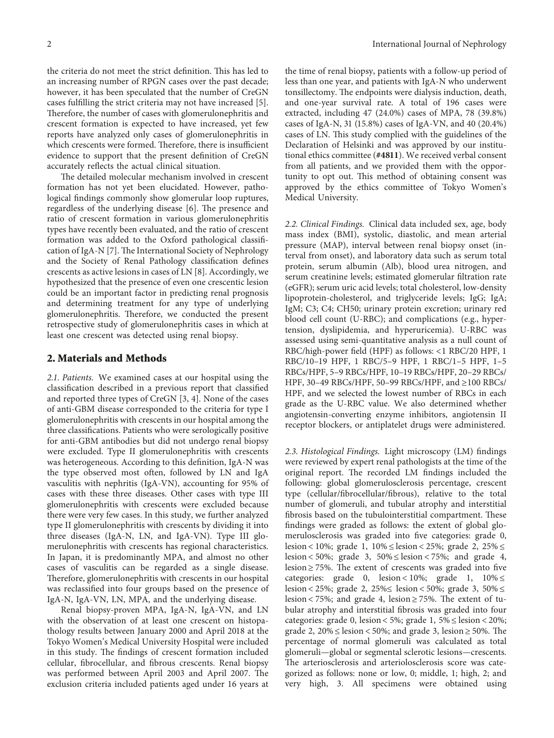the criteria do not meet the strict definition. This has led to an increasing number of RPGN cases over the past decade; however, it has been speculated that the number of CreGN cases fulfilling the strict criteria may not have increased [[5](#page-7-0)]. Therefore, the number of cases with glomerulonephritis and crescent formation is expected to have increased, yet few reports have analyzed only cases of glomerulonephritis in which crescents were formed. Therefore, there is insufficient evidence to support that the present definition of CreGN accurately reflects the actual clinical situation.

The detailed molecular mechanism involved in crescent formation has not yet been elucidated. However, pathological findings commonly show glomerular loop ruptures, regardless of the underlying disease [[6\]](#page-7-0). The presence and ratio of crescent formation in various glomerulonephritis types have recently been evaluated, and the ratio of crescent formation was added to the Oxford pathological classifi-cation of IgA-N [[7\]](#page-7-0). The International Society of Nephrology and the Society of Renal Pathology classification defines crescents as active lesions in cases of LN [\[8\]](#page-7-0). Accordingly, we hypothesized that the presence of even one crescentic lesion could be an important factor in predicting renal prognosis and determining treatment for any type of underlying glomerulonephritis. Therefore, we conducted the present retrospective study of glomerulonephritis cases in which at least one crescent was detected using renal biopsy.

#### **2. Materials and Methods**

*2.1. Patients.* We examined cases at our hospital using the classification described in a previous report that classified and reported three types of CreGN [[3, 4](#page-7-0)]. None of the cases of anti-GBM disease corresponded to the criteria for type I glomerulonephritis with crescents in our hospital among the three classifications. Patients who were serologically positive for anti-GBM antibodies but did not undergo renal biopsy were excluded. Type II glomerulonephritis with crescents was heterogeneous. According to this definition, IgA-N was the type observed most often, followed by LN and IgA vasculitis with nephritis (IgA-VN), accounting for 95% of cases with these three diseases. Other cases with type III glomerulonephritis with crescents were excluded because there were very few cases. In this study, we further analyzed type II glomerulonephritis with crescents by dividing it into three diseases (IgA-N, LN, and IgA-VN). Type III glomerulonephritis with crescents has regional characteristics. In Japan, it is predominantly MPA, and almost no other cases of vasculitis can be regarded as a single disease. Therefore, glomerulonephritis with crescents in our hospital was reclassified into four groups based on the presence of IgA-N, IgA-VN, LN, MPA, and the underlying disease.

Renal biopsy-proven MPA, IgA-N, IgA-VN, and LN with the observation of at least one crescent on histopathology results between January 2000 and April 2018 at the Tokyo Women's Medical University Hospital were included in this study. The findings of crescent formation included cellular, fibrocellular, and fibrous crescents. Renal biopsy was performed between April 2003 and April 2007. The exclusion criteria included patients aged under 16 years at

the time of renal biopsy, patients with a follow-up period of less than one year, and patients with IgA-N who underwent tonsillectomy. The endpoints were dialysis induction, death, and one-year survival rate. A total of 196 cases were extracted, including 47 (24.0%) cases of MPA, 78 (39.8%) cases of IgA-N, 31 (15.8%) cases of IgA-VN, and 40 (20.4%) cases of LN. This study complied with the guidelines of the Declaration of Helsinki and was approved by our institutional ethics committee (**#4811**). We received verbal consent from all patients, and we provided them with the opportunity to opt out. This method of obtaining consent was approved by the ethics committee of Tokyo Women's Medical University.

*2.2. Clinical Findings.* Clinical data included sex, age, body mass index (BMI), systolic, diastolic, and mean arterial pressure (MAP), interval between renal biopsy onset (interval from onset), and laboratory data such as serum total protein, serum albumin (Alb), blood urea nitrogen, and serum creatinine levels; estimated glomerular filtration rate (eGFR); serum uric acid levels; total cholesterol, low-density lipoprotein-cholesterol, and triglyceride levels; IgG; IgA; IgM; C3; C4; CH50; urinary protein excretion; urinary red blood cell count (U-RBC); and complications (e.g., hypertension, dyslipidemia, and hyperuricemia). U-RBC was assessed using semi-quantitative analysis as a null count of RBC/high-power field (HPF) as follows: <1 RBC/20 HPF, 1 RBC/10–19 HPF, 1 RBC/5–9 HPF, 1 RBC/1–5 HPF, 1–5 RBCs/HPF, 5–9 RBCs/HPF, 10–19 RBCs/HPF, 20–29 RBCs/ HPF, 30–49 RBCs/HPF, 50–99 RBCs/HPF, and ≥100 RBCs/ HPF, and we selected the lowest number of RBCs in each grade as the U-RBC value. We also determined whether angiotensin-converting enzyme inhibitors, angiotensin II receptor blockers, or antiplatelet drugs were administered.

*2.3. Histological Findings.* Light microscopy (LM) findings were reviewed by expert renal pathologists at the time of the original report. The recorded LM findings included the following: global glomerulosclerosis percentage, crescent type (cellular/fibrocellular/fibrous), relative to the total number of glomeruli, and tubular atrophy and interstitial fibrosis based on the tubulointerstitial compartment. These findings were graded as follows: the extent of global glomerulosclerosis was graded into five categories: grade 0, lesion < 10%; grade 1, 10% ≤ lesion < 25%; grade 2, 25% ≤ lesion < 50%; grade 3,  $50\% \leq$  lesion < 75%; and grade 4, lesion  $\geq$  75%. The extent of crescents was graded into five categories: grade 0, lesion < 10%; grade 1,  $10\% \le$ lesion < 25%; grade 2, 25%≤ lesion < 50%; grade 3, 50% ≤ lesion < 75%; and grade 4, lesion  $\geq$  75%. The extent of tubular atrophy and interstitial fibrosis was graded into four categories: grade 0, lesion < 5%; grade 1, 5% ≤ lesion < 20%; grade 2,  $20\% \leq$  lesion < 50%; and grade 3, lesion  $\geq$  50%. The percentage of normal glomeruli was calculated as total glomeruli—global or segmental sclerotic lesions—crescents. The arteriosclerosis and arteriolosclerosis score was categorized as follows: none or low, 0; middle, 1; high, 2; and very high, 3. All specimens were obtained using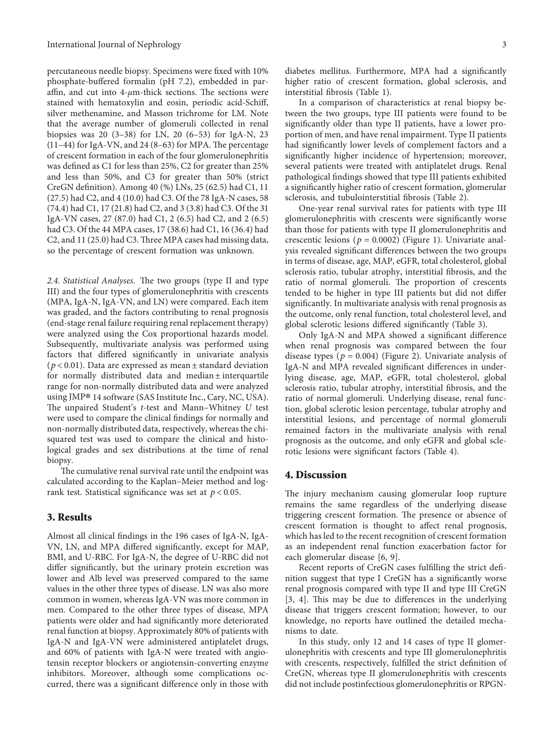percutaneous needle biopsy. Specimens were fixed with 10% phosphate-buffered formalin (pH 7.2), embedded in paraffin, and cut into  $4\text{-}\mu$ m-thick sections. The sections were stained with hematoxylin and eosin, periodic acid-Schiff, silver methenamine, and Masson trichrome for LM. Note that the average number of glomeruli collected in renal biopsies was 20 (3–38) for LN, 20 (6–53) for IgA-N, 23  $(11-44)$  for IgA-VN, and 24 (8-63) for MPA. The percentage of crescent formation in each of the four glomerulonephritis was defined as C1 for less than 25%, C2 for greater than 25% and less than 50%, and C3 for greater than 50% (strict CreGN definition). Among 40 (%) LNs, 25 (62.5) had C1, 11 (27.5) had C2, and 4 (10.0) had C3. Of the 78 IgA-N cases, 58 (74.4) had C1, 17 (21.8) had C2, and 3 (3.8) had C3. Of the 31 IgA-VN cases, 27 (87.0) had C1, 2 (6.5) had C2, and 2 (6.5) had C3. Of the 44 MPA cases, 17 (38.6) had C1, 16 (36.4) had  $C<sub>2</sub>$ , and 11 (25.0) had  $C<sub>3</sub>$ . Three MPA cases had missing data, so the percentage of crescent formation was unknown.

2.4. Statistical Analyses. The two groups (type II and type III) and the four types of glomerulonephritis with crescents (MPA, IgA-N, IgA-VN, and LN) were compared. Each item was graded, and the factors contributing to renal prognosis (end-stage renal failure requiring renal replacement therapy) were analyzed using the Cox proportional hazards model. Subsequently, multivariate analysis was performed using factors that differed significantly in univariate analysis (*p* < 0*.*01). Data are expressed as mean ± standard deviation for normally distributed data and median ± interquartile range for non-normally distributed data and were analyzed using JMP® 14 software (SAS Institute Inc., Cary, NC, USA). The unpaired Student's *t*-test and Mann–Whitney *U* test were used to compare the clinical findings for normally and non-normally distributed data, respectively, whereas the chisquared test was used to compare the clinical and histological grades and sex distributions at the time of renal biopsy.

The cumulative renal survival rate until the endpoint was calculated according to the Kaplan–Meier method and logrank test. Statistical significance was set at *p* < 0*.*05.

#### **3. Results**

Almost all clinical findings in the 196 cases of IgA-N, IgA-VN, LN, and MPA differed significantly, except for MAP, BMI, and U-RBC. For IgA-N, the degree of U-RBC did not differ significantly, but the urinary protein excretion was lower and Alb level was preserved compared to the same values in the other three types of disease. LN was also more common in women, whereas IgA-VN was more common in men. Compared to the other three types of disease, MPA patients were older and had significantly more deteriorated renal function at biopsy. Approximately 80% of patients with IgA-N and IgA-VN were administered antiplatelet drugs, and 60% of patients with IgA-N were treated with angiotensin receptor blockers or angiotensin-converting enzyme inhibitors. Moreover, although some complications occurred, there was a significant difference only in those with

diabetes mellitus. Furthermore, MPA had a significantly higher ratio of crescent formation, global sclerosis, and interstitial fibrosis (Table [1\)](#page-3-0).

In a comparison of characteristics at renal biopsy between the two groups, type III patients were found to be significantly older than type II patients, have a lower proportion of men, and have renal impairment. Type II patients had significantly lower levels of complement factors and a significantly higher incidence of hypertension; moreover, several patients were treated with antiplatelet drugs. Renal pathological findings showed that type III patients exhibited a significantly higher ratio of crescent formation, glomerular sclerosis, and tubulointerstitial fibrosis (Table [2](#page-4-0)).

One-year renal survival rates for patients with type III glomerulonephritis with crescents were significantly worse than those for patients with type II glomerulonephritis and crescentic lesions ( $p = 0.0002$ ) (Figure [1\)](#page--1-0). Univariate analysis revealed significant differences between the two groups in terms of disease, age, MAP, eGFR, total cholesterol, global sclerosis ratio, tubular atrophy, interstitial fibrosis, and the ratio of normal glomeruli. The proportion of crescents tended to be higher in type III patients but did not differ significantly. In multivariate analysis with renal prognosis as the outcome, only renal function, total cholesterol level, and global sclerotic lesions differed significantly (Table [3\)](#page--1-0).

Only IgA-N and MPA showed a significant difference when renal prognosis was compared between the four disease types ( $p = 0.004$ ) (Figure [2](#page--1-0)). Univariate analysis of IgA-N and MPA revealed significant differences in underlying disease, age, MAP, eGFR, total cholesterol, global sclerosis ratio, tubular atrophy, interstitial fibrosis, and the ratio of normal glomeruli. Underlying disease, renal function, global sclerotic lesion percentage, tubular atrophy and interstitial lesions, and percentage of normal glomeruli remained factors in the multivariate analysis with renal prognosis as the outcome, and only eGFR and global sclerotic lesions were significant factors (Table [4](#page--1-0)).

#### **4. Discussion**

The injury mechanism causing glomerular loop rupture remains the same regardless of the underlying disease triggering crescent formation. The presence or absence of crescent formation is thought to affect renal prognosis, which has led to the recent recognition of crescent formation as an independent renal function exacerbation factor for each glomerular disease [[6, 9\]](#page-7-0).

Recent reports of CreGN cases fulfilling the strict definition suggest that type I CreGN has a significantly worse renal prognosis compared with type II and type III CreGN  $[3, 4]$  $[3, 4]$  $[3, 4]$ . This may be due to differences in the underlying disease that triggers crescent formation; however, to our knowledge, no reports have outlined the detailed mechanisms to date.

In this study, only 12 and 14 cases of type II glomerulonephritis with crescents and type III glomerulonephritis with crescents, respectively, fulfilled the strict definition of CreGN, whereas type II glomerulonephritis with crescents did not include postinfectious glomerulonephritis or RPGN-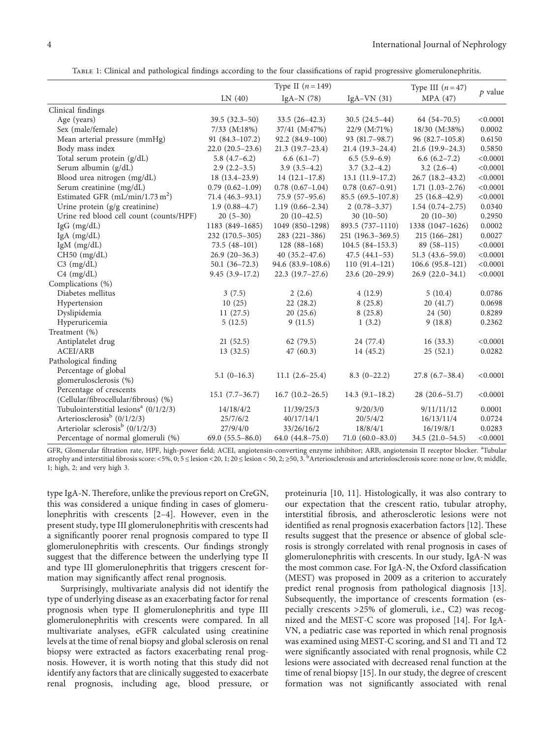Table 1: Clinical and pathological findings according to the four classifications of rapid progressive glomerulonephritis.

<span id="page-3-0"></span>

|                                                   |                     | Type II $(n=149)$    |                      | Type III $(n=47)$      | $p$ value |
|---------------------------------------------------|---------------------|----------------------|----------------------|------------------------|-----------|
|                                                   | LN(40)              | IgA $-N(78)$         | IgA-VN $(31)$        | MPA (47)               |           |
| Clinical findings                                 |                     |                      |                      |                        |           |
| Age (years)                                       | $39.5(32.3-50)$     | $33.5(26-42.3)$      | $30.5(24.5-44)$      | $64(54-70.5)$          | < 0.0001  |
| Sex (male/female)                                 | $7/33$ (M:18%)      | 37/41 (M:47%)        | 22/9 (M:71%)         | 18/30 (M:38%)          | 0.0002    |
| Mean arterial pressure (mmHg)                     | $91(84.3-107.2)$    | $92.2(84.9-100)$     | $93(81.7-98.7)$      | $96(82.7-105.8)$       | 0.6150    |
| Body mass index                                   | $22.0(20.5-23.6)$   | $21.3(19.7-23.4)$    | $21.4(19.3-24.4)$    | $21.6(19.9-24.3)$      | 0.5850    |
| Total serum protein (g/dL)                        | $5.8(4.7-6.2)$      | $6.6(6.1-7)$         | $6.5(5.9-6.9)$       | $6.6(6.2 - 7.2)$       | < 0.0001  |
| Serum albumin (g/dL)                              | $2.9(2.2-3.5)$      | $3.9(3.5-4.2)$       | $3.7(3.2-4.2)$       | $3.2(2.6-4)$           | < 0.0001  |
| Blood urea nitrogen (mg/dL)                       | $18(13.4-23.9)$     | $14(12.1-17.8)$      | $13.1(11.9-17.2)$    | $26.7$ $(18.2 - 43.2)$ | < 0.0001  |
| Serum creatinine (mg/dL)                          | $0.79(0.62 - 1.09)$ | $0.78(0.67-1.04)$    | $0.78(0.67-0.91)$    | $1.71(1.03-2.76)$      | < 0.0001  |
| Estimated GFR $(mL/min/1.73 m2)$                  | $71.4(46.3-93.1)$   | $75.9(57-95.6)$      | $85.5(69.5-107.8)$   | $25(16.8-42.9)$        | < 0.0001  |
| Urine protein $(g/g \text{ creation}$             | $1.9(0.88-4.7)$     | $1.19(0.66 - 2.34)$  | $2(0.78-3.37)$       | $1.54(0.74-2.75)$      | 0.0340    |
| Urine red blood cell count (counts/HPF)           | $20(5-30)$          | $20(10-42.5)$        | $30(10-50)$          | $20(10-30)$            | 0.2950    |
| $IgG$ (mg/dL)                                     | 1183 (849-1685)     | 1049 (850-1298)      | 893.5 (737-1110)     | 1338 (1047-1626)       | 0.0002    |
| $IgA$ (mg/dL)                                     | 232 (170.5-305)     | $283(221-386)$       | 251 (196.3-369.5)    | $215(166-281)$         | 0.0027    |
| IgM $(mg/dL)$                                     | $73.5(48-101)$      | $128(88-168)$        | $104.5(84-153.3)$    | $89(58-115)$           | < 0.0001  |
| $CH50$ (mg/dL)                                    | $26.9(20-36.3)$     | $40(35.2 - 47.6)$    | $47.5(44.1-53)$      | $51.3(43.6 - 59.0)$    | < 0.0001  |
| $C3$ (mg/dL)                                      | $50.1 (36 - 72.3)$  | 94.6 (83.9-108.6)    | $110(91.4-121)$      | $106.6(95.8-121)$      | < 0.0001  |
| $C4$ (mg/dL)                                      | $9.45(3.9-17.2)$    | $22.3(19.7-27.6)$    | $23.6(20-29.9)$      | $26.9(22.0-34.1)$      | < 0.0001  |
| Complications (%)                                 |                     |                      |                      |                        |           |
| Diabetes mellitus                                 | 3(7.5)              | 2(2.6)               | 4(12.9)              | 5(10.4)                | 0.0786    |
| Hypertension                                      | 10(25)              | 22(28.2)             | 8(25.8)              | 20(41.7)               | 0.0698    |
| Dyslipidemia                                      | 11(27.5)            | 20(25.6)             | 8(25.8)              | 24(50)                 | 0.8289    |
| Hyperuricemia                                     | 5(12.5)             | 9(11.5)              | 1(3.2)               | 9(18.8)                | 0.2362    |
| Treatment (%)                                     |                     |                      |                      |                        |           |
| Antiplatelet drug                                 | 21(52.5)            | 62(79.5)             | 24 (77.4)            | 16(33.3)               | < 0.0001  |
| ACEI/ARB                                          | 13(32.5)            | 47(60.3)             | 14(45.2)             | 25(52.1)               | 0.0282    |
| Pathological finding                              |                     |                      |                      |                        |           |
| Percentage of global                              |                     |                      |                      |                        |           |
| glomerulosclerosis (%)                            | $5.1(0-16.3)$       | $11.1 (2.6 - 25.4)$  | $8.3(0-22.2)$        | $27.8(6.7-38.4)$       | < 0.0001  |
| Percentage of crescents                           |                     |                      |                      |                        |           |
| (Cellular/fibrocellular/fibrous) (%)              | $15.1(7.7-36.7)$    | $16.7(10.2-26.5)$    | $14.3(9.1-18.2)$     | $28(20.6-51.7)$        | < 0.0001  |
| Tubulointerstitial lesions <sup>a</sup> (0/1/2/3) | 14/18/4/2           | 11/39/25/3           | 9/20/3/0             | 9/11/11/12             | 0.0001    |
| Arteriosclerosis <sup>b</sup> (0/1/2/3)           | 25/7/6/2            | 40/17/14/1           | 20/5/4/2             | 16/13/11/4             | 0.0724    |
| Arteriolar sclerosis <sup>b</sup> (0/1/2/3)       | 27/9/4/0            | 33/26/16/2           | 18/8/4/1             | 16/19/8/1              | 0.0283    |
| Percentage of normal glomeruli (%)                | $69.0(55.5-86.0)$   | $64.0 (44.8 - 75.0)$ | $71.0 (60.0 - 83.0)$ | $34.5(21.0-54.5)$      | < 0.0001  |

GFR, Glomerular filtration rate, HPF, high-power field; ACEI, angiotensin-converting enzyme inhibitor; ARB, angiotensin II receptor blocker. <sup>a</sup>Tubular atrophy and interstitial fibrosis score: <5%, 0; 5 ≤ lesion <20, 1; 20 ≤ lesion < 50, 2; ≥50, 3. <sup>b</sup>Arteriosclerosis and arteriolosclerosis score: none or low, 0; middle, 1; high, 2; and very high 3.

type IgA-N. Therefore, unlike the previous report on CreGN, this was considered a unique finding in cases of glomerulonephritis with crescents [[2](#page-7-0)–[4](#page-7-0)]. However, even in the present study, type III glomerulonephritis with crescents had a significantly poorer renal prognosis compared to type II glomerulonephritis with crescents. Our findings strongly suggest that the difference between the underlying type II and type III glomerulonephritis that triggers crescent formation may significantly affect renal prognosis.

Surprisingly, multivariate analysis did not identify the type of underlying disease as an exacerbating factor for renal prognosis when type II glomerulonephritis and type III glomerulonephritis with crescents were compared. In all multivariate analyses, eGFR calculated using creatinine levels at the time of renal biopsy and global sclerosis on renal biopsy were extracted as factors exacerbating renal prognosis. However, it is worth noting that this study did not identify any factors that are clinically suggested to exacerbate renal prognosis, including age, blood pressure, or

proteinuria [\[10](#page-7-0), [11\]](#page-7-0). Histologically, it was also contrary to our expectation that the crescent ratio, tubular atrophy, interstitial fibrosis, and atherosclerotic lesions were not identified as renal prognosis exacerbation factors [\[12](#page-7-0)]. These results suggest that the presence or absence of global sclerosis is strongly correlated with renal prognosis in cases of glomerulonephritis with crescents. In our study, IgA-N was the most common case. For IgA-N, the Oxford classification (MEST) was proposed in 2009 as a criterion to accurately predict renal prognosis from pathological diagnosis [\[13](#page-7-0)]. Subsequently, the importance of crescents formation (especially crescents >25% of glomeruli, i.e., C2) was recognized and the MEST-C score was proposed [[14\]](#page-7-0). For IgA-VN, a pediatric case was reported in which renal prognosis was examined using MEST-C scoring, and S1 and T1 and T2 were significantly associated with renal prognosis, while C2 lesions were associated with decreased renal function at the time of renal biopsy [\[15](#page-7-0)]. In our study, the degree of crescent formation was not significantly associated with renal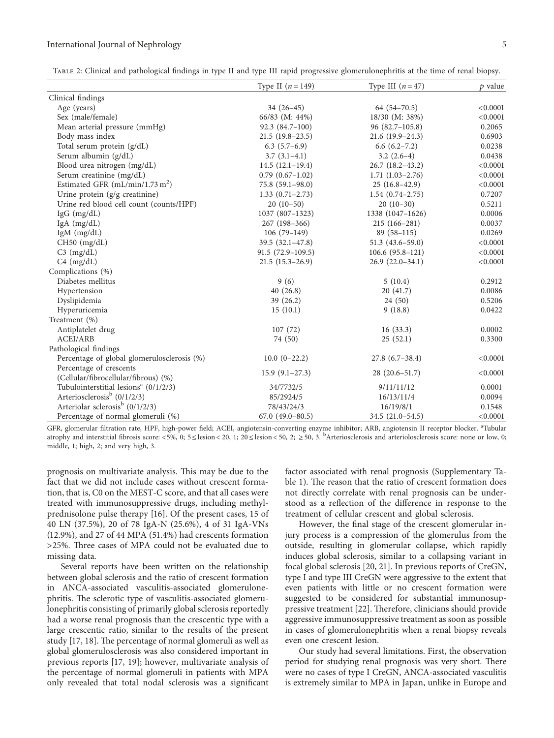#### <span id="page-4-0"></span>International Journal of Nephrology 5

Table 2: Clinical and pathological findings in type II and type III rapid progressive glomerulonephritis at the time of renal biopsy.

|                                                   | Type II $(n = 149)$ | Type III $(n=47)$   | $p$ value |
|---------------------------------------------------|---------------------|---------------------|-----------|
| Clinical findings                                 |                     |                     |           |
| Age (years)                                       | $34(26-45)$         | $64(54-70.5)$       | < 0.0001  |
| Sex (male/female)                                 | 66/83 (M: 44%)      | 18/30 (M: 38%)      | < 0.0001  |
| Mean arterial pressure (mmHg)                     | $92.3(84.7-100)$    | $96(82.7-105.8)$    | 0.2065    |
| Body mass index                                   | $21.5(19.8-23.5)$   | $21.6(19.9-24.3)$   | 0.6903    |
| Total serum protein (g/dL)                        | $6.3(5.7-6.9)$      | $6.6(6.2 - 7.2)$    | 0.0238    |
| Serum albumin (g/dL)                              | $3.7(3.1-4.1)$      | $3.2(2.6-4)$        | 0.0438    |
| Blood urea nitrogen (mg/dL)                       | $14.5(12.1-19.4)$   | $26.7(18.2-43.2)$   | < 0.0001  |
| Serum creatinine (mg/dL)                          | $0.79(0.67-1.02)$   | $1.71(1.03-2.76)$   | < 0.0001  |
| Estimated GFR $(mL/min/1.73 m2)$                  | $75.8(59.1-98.0)$   | $25(16.8-42.9)$     | < 0.0001  |
| Urine protein (g/g creatinine)                    | $1.33(0.71 - 2.73)$ | $1.54(0.74-2.75)$   | 0.7207    |
| Urine red blood cell count (counts/HPF)           | $20(10-50)$         | $20(10-30)$         | 0.5211    |
| $IgG$ (mg/dL)                                     | 1037 (807-1323)     | 1338 (1047-1626)    | 0.0006    |
| $IgA$ (mg/dL)                                     | 267 (198-366)       | $215(166-281)$      | 0.0037    |
| $IgM$ (mg/dL)                                     | $106(79-149)$       | $89(58-115)$        | 0.0269    |
| CH50 (mg/dL)                                      | $39.5(32.1-47.8)$   | $51.3(43.6 - 59.0)$ | < 0.0001  |
| $C3$ (mg/dL)                                      | $91.5(72.9-109.5)$  | $106.6(95.8-121)$   | < 0.0001  |
| $C4$ (mg/dL)                                      | $21.5(15.3-26.9)$   | $26.9(22.0-34.1)$   | < 0.0001  |
| Complications (%)                                 |                     |                     |           |
| Diabetes mellitus                                 | 9(6)                | 5(10.4)             | 0.2912    |
| Hypertension                                      | 40(26.8)            | 20(41.7)            | 0.0086    |
| Dyslipidemia                                      | 39 (26.2)           | 24(50)              | 0.5206    |
| Hyperuricemia                                     | 15(10.1)            | 9(18.8)             | 0.0422    |
| Treatment (%)                                     |                     |                     |           |
| Antiplatelet drug                                 | 107(72)             | 16(33.3)            | 0.0002    |
| <b>ACEI/ARB</b>                                   | 74 (50)             | 25(52.1)            | 0.3300    |
| Pathological findings                             |                     |                     |           |
| Percentage of global glomerulosclerosis (%)       | $10.0 (0-22.2)$     | $27.8(6.7-38.4)$    | < 0.0001  |
| Percentage of crescents                           |                     |                     |           |
| (Cellular/fibrocellular/fibrous) (%)              | $15.9(9.1-27.3)$    | $28(20.6-51.7)$     | < 0.0001  |
| Tubulointerstitial lesions <sup>a</sup> (0/1/2/3) | 34/7732/5           | 9/11/11/12          | 0.0001    |
| Arteriosclerosis <sup>b</sup> (0/1/2/3)           | 85/2924/5           | 16/13/11/4          | 0.0094    |
| Arteriolar sclerosis <sup>b</sup> $(0/1/2/3)$     | 78/43/24/3          | 16/19/8/1           | 0.1548    |
| Percentage of normal glomeruli (%)                | $67.0(49.0-80.5)$   | 34.5 (21.0-54.5)    | < 0.0001  |

GFR, glomerular filtration rate, HPF, high-power field; ACEI, angiotensin-converting enzyme inhibitor; ARB, angiotensin II receptor blocker. <sup>a</sup>Tubular atrophy and interstitial fibrosis score: <5%, 0; 5 ≤ lesion < 20, 1; 20 ≤ lesion < 50, 2; ≥ 50, 3. <sup>b</sup>Arteriosclerosis and arteriolosclerosis score: none or low, 0; middle, 1; high, 2; and very high, 3.

prognosis on multivariate analysis. This may be due to the fact that we did not include cases without crescent formation, that is, C0 on the MEST-C score, and that all cases were treated with immunosuppressive drugs, including methylprednisolone pulse therapy [[16\]](#page-7-0). Of the present cases, 15 of 40 LN (37.5%), 20 of 78 IgA-N (25.6%), 4 of 31 IgA-VNs (12.9%), and 27 of 44 MPA (51.4%) had crescents formation  $>$ 25%. Three cases of MPA could not be evaluated due to missing data.

Several reports have been written on the relationship between global sclerosis and the ratio of crescent formation in ANCA-associated vasculitis-associated glomerulonephritis. The sclerotic type of vasculitis-associated glomerulonephritis consisting of primarily global sclerosis reportedly had a worse renal prognosis than the crescentic type with a large crescentic ratio, similar to the results of the present study  $[17, 18]$  $[17, 18]$  $[17, 18]$  $[17, 18]$ . The percentage of normal glomeruli as well as global glomerulosclerosis was also considered important in previous reports [[17](#page-8-0), [19](#page-8-0)]; however, multivariate analysis of the percentage of normal glomeruli in patients with MPA only revealed that total nodal sclerosis was a significant

factor associated with renal prognosis (Supplementary Ta-ble [1\)](#page-7-0). The reason that the ratio of crescent formation does not directly correlate with renal prognosis can be understood as a reflection of the difference in response to the treatment of cellular crescent and global sclerosis.

However, the final stage of the crescent glomerular injury process is a compression of the glomerulus from the outside, resulting in glomerular collapse, which rapidly induces global sclerosis, similar to a collapsing variant in focal global sclerosis [[20](#page-8-0), [21\]](#page-8-0). In previous reports of CreGN, type I and type III CreGN were aggressive to the extent that even patients with little or no crescent formation were suggested to be considered for substantial immunosup-pressive treatment [\[22\]](#page-8-0). Therefore, clinicians should provide aggressive immunosuppressive treatment as soon as possible in cases of glomerulonephritis when a renal biopsy reveals even one crescent lesion.

Our study had several limitations. First, the observation period for studying renal prognosis was very short. There were no cases of type I CreGN, ANCA-associated vasculitis is extremely similar to MPA in Japan, unlike in Europe and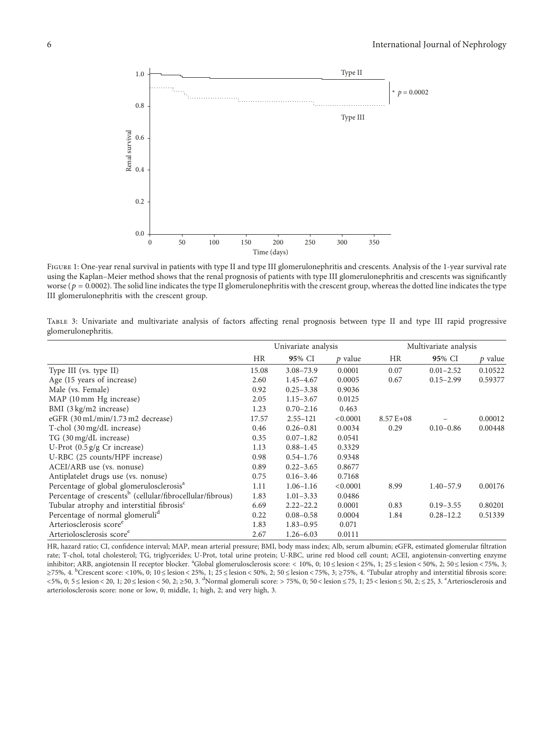

Figure 1: One-year renal survival in patients with type II and type III glomerulonephritis and crescents. Analysis of the 1-year survival rate using the Kaplan–Meier method shows that the renal prognosis of patients with type III glomerulonephritis and crescents was signicantly worse ( $p = 0.0002$ ). The solid line indicates the type II glomerulonephritis with the crescent group, whereas the dotted line indicates the type III glomerulonephritis with the crescent group.

TABLE 3: Univariate and multivariate analysis of factors affecting renal prognosis between type II and type III rapid progressive glomerulonephritis.

|                                                                       | Univariate analysis |               | Multivariate analysis |              |               |           |
|-----------------------------------------------------------------------|---------------------|---------------|-----------------------|--------------|---------------|-----------|
|                                                                       | HR                  | 95% CI        | $p$ value             | HR           | 95% CI        | $p$ value |
| Type III (vs. type II)                                                | 15.08               | $3.08 - 73.9$ | 0.0001                | 0.07         | $0.01 - 2.52$ | 0.10522   |
| Age (15 years of increase)                                            | 2.60                | $1.45 - 4.67$ | 0.0005                | 0.67         | $0.15 - 2.99$ | 0.59377   |
| Male (vs. Female)                                                     | 0.92                | $0.25 - 3.38$ | 0.9036                |              |               |           |
| MAP (10 mm Hg increase)                                               | 2.05                | $1.15 - 3.67$ | 0.0125                |              |               |           |
| BMI (3 kg/m2 increase)                                                | 1.23                | $0.70 - 2.16$ | 0.463                 |              |               |           |
| eGFR (30 mL/min/1.73 m2 decrease)                                     | 17.57               | $2.55 - 121$  | < 0.0001              | $8.57E + 08$ |               | 0.00012   |
| T-chol (30 mg/dL increase)                                            | 0.46                | $0.26 - 0.81$ | 0.0034                | 0.29         | $0.10 - 0.86$ | 0.00448   |
| TG (30 mg/dL increase)                                                | 0.35                | $0.07 - 1.82$ | 0.0541                |              |               |           |
| U-Prot $(0.5 \text{ g/g Cr}$ increase)                                | 1.13                | $0.88 - 1.45$ | 0.3329                |              |               |           |
| U-RBC (25 counts/HPF increase)                                        | 0.98                | $0.54 - 1.76$ | 0.9348                |              |               |           |
| ACEI/ARB use (vs. nonuse)                                             | 0.89                | $0.22 - 3.65$ | 0.8677                |              |               |           |
| Antiplatelet drugs use (vs. nonuse)                                   | 0.75                | $0.16 - 3.46$ | 0.7168                |              |               |           |
| Percentage of global glomerulosclerosis <sup>a</sup>                  | 1.11                | $1.06 - 1.16$ | < 0.0001              | 8.99         | $1.40 - 57.9$ | 0.00176   |
| Percentage of crescents <sup>b</sup> (cellular/fibrocellular/fibrous) | 1.83                | $1.01 - 3.33$ | 0.0486                |              |               |           |
| Tubular atrophy and interstitial fibrosis <sup>c</sup>                | 6.69                | $2.22 - 22.2$ | 0.0001                | 0.83         | $0.19 - 3.55$ | 0.80201   |
| Percentage of normal glomeruli <sup>d</sup>                           | 0.22                | $0.08 - 0.58$ | 0.0004                | 1.84         | $0.28 - 12.2$ | 0.51339   |
| Arteriosclerosis score <sup>e</sup>                                   | 1.83                | $1.83 - 0.95$ | 0.071                 |              |               |           |
| Arteriolosclerosis score <sup>e</sup>                                 | 2.67                | $1.26 - 6.03$ | 0.0111                |              |               |           |

HR, hazard ratio; CI, confidence interval; MAP, mean arterial pressure; BMI, body mass index; Alb, serum albumin; eGFR, estimated glomerular filtration rate; T-chol, total cholesterol; TG, triglycerides; U-Prot, total urine protein; U-RBC, urine red blood cell count; ACEI, angiotensin-converting enzyme inhibitor; ARB, angiotensin II receptor blocker. <sup>a</sup>Global glomerulosclerosis score: < 10%, 0; 10 ≤ lesion < 25%, 1; 25 ≤ lesion < 50%, 2; 50 ≤ lesion < 75%, 3; ≥75%, 4.  ${}^{\text{b}}$ Crescent score: <10%, 0; 10 ≤ lesion < 25%, 1; 25 ≤ lesion < 50%, 2; 50 ≤ lesion < 75%, 3; ≥75%, 4. <sup>c</sup>Tubular atrophy and interstitial fibrosis score: <5%, 0; 5 ≤ lesion < 20, 1; 20 ≤ lesion < 50, 2; ≥50, 3. <sup>d</sup>Normal glomeruli score: > 75%, 0; 50 < lesion ≤ 75, 1; 25 < lesion ≤ 50, 2; ≤ 25, 3. <sup>e</sup>Arteriosclerosis and arteriolosclerosis score: none or low, 0; middle, 1; high, 2; and very high, 3.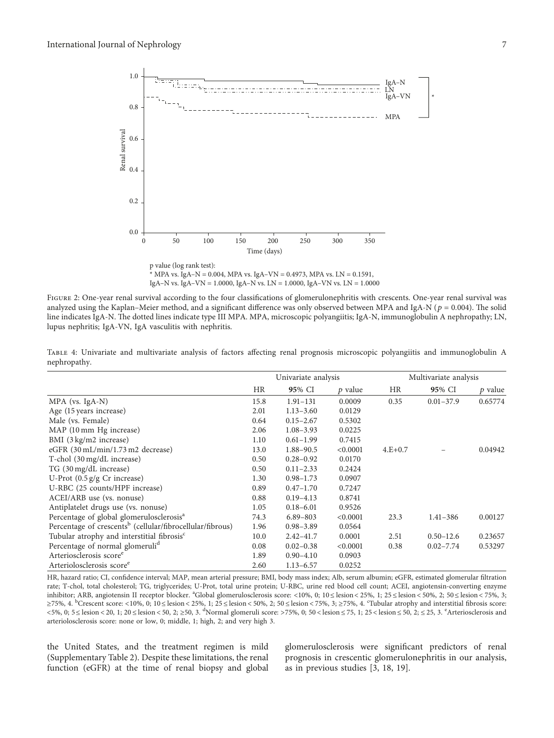

IgA–N vs. IgA–VN = 1.0000, IgA–N vs. LN = 1.0000, IgA–VN vs. LN = 1.0000

FIGURE 2: One-year renal survival according to the four classifications of glomerulonephritis with crescents. One-year renal survival was analyzed using the Kaplan–Meier method, and a significant difference was only observed between MPA and IgA-N ( $p = 0.004$ ). The solid line indicates IgA-N. The dotted lines indicate type III MPA. MPA, microscopic polyangiitis; IgA-N, immunoglobulin A nephropathy; LN, lupus nephritis; IgA-VN, IgA vasculitis with nephritis.

|                                                                       | Univariate analysis |               | Multivariate analysis |           |               |           |
|-----------------------------------------------------------------------|---------------------|---------------|-----------------------|-----------|---------------|-----------|
|                                                                       | <b>HR</b>           | 95% CI        | $p$ value             | <b>HR</b> | 95% CI        | $p$ value |
| $MPA$ (vs. IgA-N)                                                     | 15.8                | $1.91 - 131$  | 0.0009                | 0.35      | $0.01 - 37.9$ | 0.65774   |
| Age (15 years increase)                                               | 2.01                | $1.13 - 3.60$ | 0.0129                |           |               |           |
| Male (vs. Female)                                                     | 0.64                | $0.15 - 2.67$ | 0.5302                |           |               |           |
| MAP (10 mm Hg increase)                                               | 2.06                | $1.08 - 3.93$ | 0.0225                |           |               |           |
| BMI (3 kg/m2 increase)                                                | 1.10                | $0.61 - 1.99$ | 0.7415                |           |               |           |
| eGFR (30 mL/min/1.73 m2 decrease)                                     | 13.0                | 1.88-90.5     | < 0.0001              | $4.E+0.7$ |               | 0.04942   |
| T-chol (30 mg/dL increase)                                            | 0.50                | $0.28 - 0.92$ | 0.0170                |           |               |           |
| TG (30 mg/dL increase)                                                | 0.50                | $0.11 - 2.33$ | 0.2424                |           |               |           |
| U-Prot $(0.5 \text{ g/g} \text{ Cr} \text{ increase})$                | 1.30                | $0.98 - 1.73$ | 0.0907                |           |               |           |
| U-RBC (25 counts/HPF increase)                                        | 0.89                | $0.47 - 1.70$ | 0.7247                |           |               |           |
| ACEI/ARB use (vs. nonuse)                                             | 0.88                | $0.19 - 4.13$ | 0.8741                |           |               |           |
| Antiplatelet drugs use (vs. nonuse)                                   | 1.05                | $0.18 - 6.01$ | 0.9526                |           |               |           |
| Percentage of global glomerulosclerosis <sup>a</sup>                  | 74.3                | $6.89 - 803$  | < 0.0001              | 23.3      | $1.41 - 386$  | 0.00127   |
| Percentage of crescents <sup>b</sup> (cellular/fibrocellular/fibrous) | 1.96                | $0.98 - 3.89$ | 0.0564                |           |               |           |
| Tubular atrophy and interstitial fibrosis <sup>c</sup>                | 10.0                | $2.42 - 41.7$ | 0.0001                | 2.51      | $0.50 - 12.6$ | 0.23657   |
| Percentage of normal glomeruli <sup>d</sup>                           | 0.08                | $0.02 - 0.38$ | < 0.0001              | 0.38      | $0.02 - 7.74$ | 0.53297   |
| Arteriosclerosis score <sup>e</sup>                                   | 1.89                | $0.90 - 4.10$ | 0.0903                |           |               |           |
| Arteriolosclerosis score <sup>e</sup>                                 | 2.60                | $1.13 - 6.57$ | 0.0252                |           |               |           |

TABLE 4: Univariate and multivariate analysis of factors affecting renal prognosis microscopic polyangiitis and immunoglobulin A nephropathy.

HR, hazard ratio; CI, confidence interval; MAP, mean arterial pressure; BMI, body mass index; Alb, serum albumin; eGFR, estimated glomerular filtration rate; T-chol, total cholesterol; TG, triglycerides; U-Prot, total urine protein; U-RBC, urine red blood cell count; ACEI, angiotensin-converting enzyme inhibitor; ARB, angiotensin II receptor blocker. <sup>a</sup>Global glomerulosclerosis score: <10%, 0; 10 ≤ lesion < 25%, 1; 25 ≤ lesion < 50%, 2; 50 ≤ lesion < 75%, 3; ≥75%, 4.  ${}^{\text{b}}$ Crescent score: <10%, 0; 10 ≤ lesion < 25%, 1; 25 ≤ lesion < 50%, 2; 50 ≤ lesion < 75%, 3; ≥75%, 4. °Tubular atrophy and interstitial fibrosis score: <5%, 0; 5 ≤ lesion < 20, 1; 20 ≤ lesion < 50, 2; ≥50, 3. <sup>d</sup>Normal glomeruli score: >75%, 0; 50 < lesion ≤ 75, 1; 25 < lesion ≤ 50, 2; ≤ 25, 3. <sup>e</sup>Arteriosclerosis and arteriolosclerosis score: none or low, 0; middle, 1; high, 2; and very high 3.

the United States, and the treatment regimen is mild (Supplementary Table [2\)](#page-7-0). Despite these limitations, the renal function (eGFR) at the time of renal biopsy and global glomerulosclerosis were signicant predictors of renal prognosis in crescentic glomerulonephritis in our analysis, as in previous studies [\[3,](#page-7-0) [18](#page-8-0), [19](#page-8-0)].

\*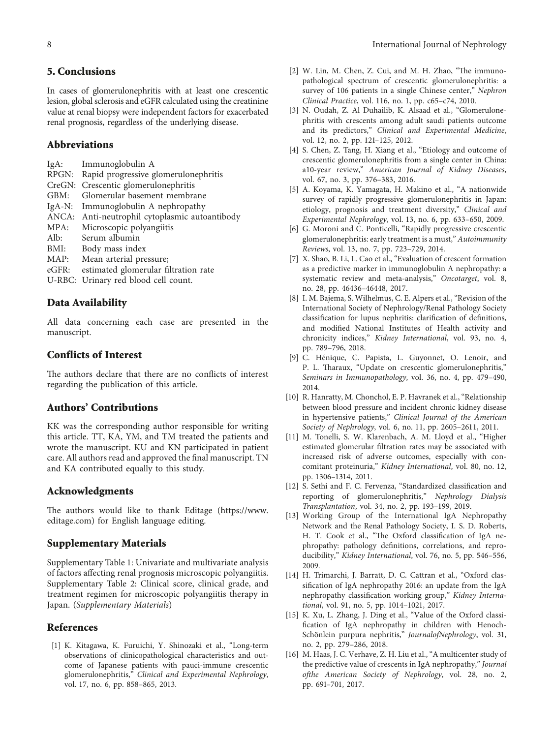## <span id="page-7-0"></span>**5. Conclusions**

In cases of glomerulonephritis with at least one crescentic lesion, global sclerosis and eGFR calculated using the creatinine value at renal biopsy were independent factors for exacerbated renal prognosis, regardless of the underlying disease.

## **Abbreviations**

| $IgA$ :  | Immunoglobulin A                               |
|----------|------------------------------------------------|
|          | RPGN: Rapid progressive glomerulonephritis     |
| CreGN:   | Crescentic glomerulonephritis                  |
| GBM:     | Glomerular basement membrane                   |
|          | IgA-N: Immunoglobulin A nephropathy            |
|          | ANCA: Anti-neutrophil cytoplasmic autoantibody |
| MPA:     | Microscopic polyangiitis                       |
| Alb:     | Serum albumin                                  |
| BMI:     | Body mass index                                |
| MAP:     | Mean arterial pressure;                        |
| $eGFR$ : | estimated glomerular filtration rate           |
|          | U-RBC: Urinary red blood cell count.           |
|          |                                                |

## **Data Availability**

All data concerning each case are presented in the manuscript.

## **Conflicts of Interest**

The authors declare that there are no conflicts of interest regarding the publication of this article.

## **Authors' Contributions**

KK was the corresponding author responsible for writing this article. TT, KA, YM, and TM treated the patients and wrote the manuscript. KU and KN participated in patient care. All authors read and approved the final manuscript. TN and KA contributed equally to this study.

#### **Acknowledgments**

The authors would like to thank Editage [\(https://www.](https://www.editage.com) [editage.com](https://www.editage.com)) for English language editing.

## **Supplementary Materials**

Supplementary Table 1: Univariate and multivariate analysis of factors affecting renal prognosis microscopic polyangiitis. Supplementary Table 2: Clinical score, clinical grade, and treatment regimen for microscopic polyangiitis therapy in Japan. (*[Supplementary Materials](https://downloads.hindawi.com/journals/ijn/2022/1749548.f1.xlsx)*)

### **References**

[1] K. Kitagawa, K. Furuichi, Y. Shinozaki et al., "Long-term observations of clinicopathological characteristics and outcome of Japanese patients with pauci-immune crescentic glomerulonephritis," *Clinical and Experimental Nephrology*, vol. 17, no. 6, pp. 858–865, 2013.

- [2] W. Lin, M. Chen, Z. Cui, and M. H. Zhao, "The immunopathological spectrum of crescentic glomerulonephritis: a survey of 106 patients in a single Chinese center," *Nephron Clinical Practice*, vol. 116, no. 1, pp. c65–c74, 2010.
- [3] N. Oudah, Z. Al Duhailib, K. Alsaad et al., "Glomerulonephritis with crescents among adult saudi patients outcome and its predictors," *Clinical and Experimental Medicine*, vol. 12, no. 2, pp. 121–125, 2012.
- [4] S. Chen, Z. Tang, H. Xiang et al., "Etiology and outcome of crescentic glomerulonephritis from a single center in China: a10-year review," *American Journal of Kidney Diseases*, vol. 67, no. 3, pp. 376–383, 2016.
- [5] A. Koyama, K. Yamagata, H. Makino et al., "A nationwide survey of rapidly progressive glomerulonephritis in Japan: etiology, prognosis and treatment diversity," *Clinical and Experimental Nephrology*, vol. 13, no. 6, pp. 633–650, 2009.
- [6] G. Moroni and C. Ponticelli, "Rapidly progressive crescentic glomerulonephritis: early treatment is a must," *Autoimmunity Reviews*, vol. 13, no. 7, pp. 723–729, 2014.
- [7] X. Shao, B. Li, L. Cao et al., "Evaluation of crescent formation as a predictive marker in immunoglobulin A nephropathy: a systematic review and meta-analysis," *Oncotarget*, vol. 8, no. 28, pp. 46436–46448, 2017.
- [8] I. M. Bajema, S. Wilhelmus, C. E. Alpers et al., "Revision of the International Society of Nephrology/Renal Pathology Society classification for lupus nephritis: clarification of definitions, and modified National Institutes of Health activity and chronicity indices," *Kidney International*, vol. 93, no. 4, pp. 789–796, 2018.
- [9] C. Henique, C. Papista, L. Guyonnet, O. Lenoir, and ´ P. L. Tharaux, "Update on crescentic glomerulonephritis," *Seminars in Immunopathology*, vol. 36, no. 4, pp. 479–490, 2014.
- [10] R. Hanratty, M. Chonchol, E. P. Havranek et al., "Relationship between blood pressure and incident chronic kidney disease in hypertensive patients," *Clinical Journal of the American Society of Nephrology*, vol. 6, no. 11, pp. 2605–2611, 2011.
- [11] M. Tonelli, S. W. Klarenbach, A. M. Lloyd et al., "Higher estimated glomerular filtration rates may be associated with increased risk of adverse outcomes, especially with concomitant proteinuria," *Kidney International*, vol. 80, no. 12, pp. 1306–1314, 2011.
- [12] S. Sethi and F. C. Fervenza, "Standardized classification and reporting of glomerulonephritis," *Nephrology Dialysis Transplantation*, vol. 34, no. 2, pp. 193–199, 2019.
- [13] Working Group of the International IgA Nephropathy Network and the Renal Pathology Society, I. S. D. Roberts, H. T. Cook et al., "The Oxford classification of IgA nephropathy: pathology definitions, correlations, and reproducibility," *Kidney International*, vol. 76, no. 5, pp. 546–556, 2009.
- [14] H. Trimarchi, J. Barratt, D. C. Cattran et al., "Oxford classification of IgA nephropathy 2016: an update from the IgA nephropathy classification working group," *Kidney International*, vol. 91, no. 5, pp. 1014–1021, 2017.
- [15] K. Xu, L. Zhang, J. Ding et al., "Value of the Oxford classification of IgA nephropathy in children with Henoch-Schönlein purpura nephritis," *JournalofNephrology*, vol. 31, no. 2, pp. 279–286, 2018.
- [16] M. Haas, J. C. Verhave, Z. H. Liu et al., "A multicenter study of the predictive value of crescents in IgA nephropathy," *Journal ofthe American Society of Nephrology*, vol. 28, no. 2, pp. 691–701, 2017.